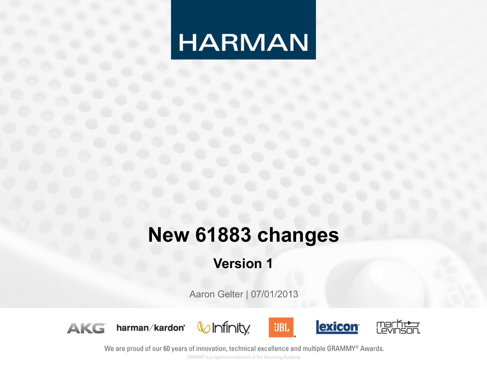## **HARMAN**

### **New 61883 changes**

#### **Version 1**

Aaron Gelter | 07/01/2013









**UBL** 



We are proud of our 60 years of innovation, technical excellence and multiple GRAMMY® Awards.

GRAMMY is a registered trademark of The Recording Academy.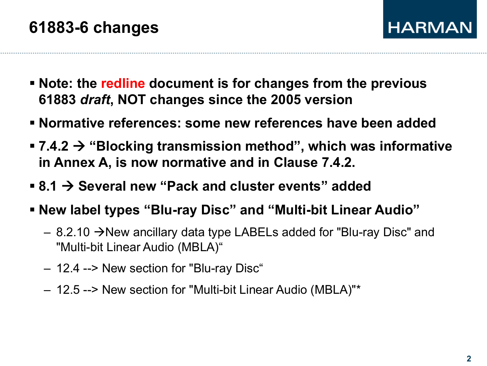- § **Note: the redline document is for changes from the previous 61883** *draft***, NOT changes since the 2005 version**
- § **Normative references: some new references have been added**
- 7.4.2  $\rightarrow$  "Blocking transmission method", which was informative **in Annex A, is now normative and in Clause 7.4.2.**
- 8.1  $\rightarrow$  Several new "Pack and cluster events" added
- § **New label types "Blu-ray Disc" and "Multi-bit Linear Audio"** 
	- $-$  8.2.10  $\rightarrow$  New ancillary data type LABELs added for "Blu-ray Disc" and "Multi-bit Linear Audio (MBLA)"
	- 12.4 --> New section for "Blu-ray Disc"
	- 12.5 --> New section for "Multi-bit Linear Audio (MBLA)"\*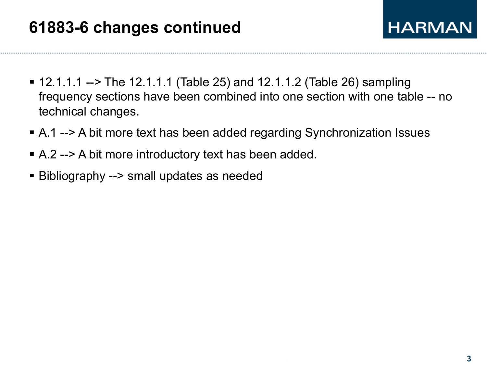- $\blacksquare$  12.1.1.1 --> The 12.1.1.1 (Table 25) and 12.1.1.2 (Table 26) sampling frequency sections have been combined into one section with one table -- no technical changes.
- § A.1 --> A bit more text has been added regarding Synchronization Issues
- A.2 --> A bit more introductory text has been added.
- Bibliography --> small updates as needed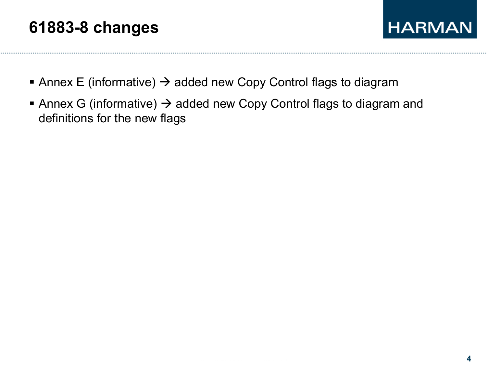#### **61883-8 changes**



- Annex E (informative)  $\rightarrow$  added new Copy Control flags to diagram
- Annex G (informative)  $\rightarrow$  added new Copy Control flags to diagram and definitions for the new flags